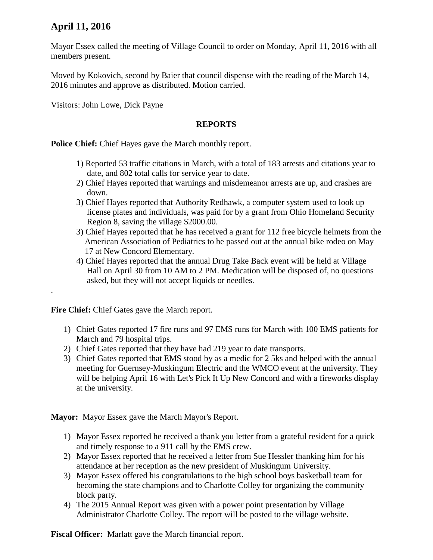## **April 11, 2016**

.

Mayor Essex called the meeting of Village Council to order on Monday, April 11, 2016 with all members present.

Moved by Kokovich, second by Baier that council dispense with the reading of the March 14, 2016 minutes and approve as distributed. Motion carried.

Visitors: John Lowe, Dick Payne

## **REPORTS**

**Police Chief:** Chief Hayes gave the March monthly report.

- 1) Reported 53 traffic citations in March, with a total of 183 arrests and citations year to date, and 802 total calls for service year to date.
- 2) Chief Hayes reported that warnings and misdemeanor arrests are up, and crashes are down.
- 3) Chief Hayes reported that Authority Redhawk, a computer system used to look up license plates and individuals, was paid for by a grant from Ohio Homeland Security Region 8, saving the village \$2000.00.
- 3) Chief Hayes reported that he has received a grant for 112 free bicycle helmets from the American Association of Pediatrics to be passed out at the annual bike rodeo on May 17 at New Concord Elementary.
- 4) Chief Hayes reported that the annual Drug Take Back event will be held at Village Hall on April 30 from 10 AM to 2 PM. Medication will be disposed of, no questions asked, but they will not accept liquids or needles.

**Fire Chief:** Chief Gates gave the March report.

- 1) Chief Gates reported 17 fire runs and 97 EMS runs for March with 100 EMS patients for March and 79 hospital trips.
- 2) Chief Gates reported that they have had 219 year to date transports.
- 3) Chief Gates reported that EMS stood by as a medic for 2 5ks and helped with the annual meeting for Guernsey-Muskingum Electric and the WMCO event at the university. They will be helping April 16 with Let's Pick It Up New Concord and with a fireworks display at the university.

**Mayor:** Mayor Essex gave the March Mayor's Report.

- 1) Mayor Essex reported he received a thank you letter from a grateful resident for a quick and timely response to a 911 call by the EMS crew.
- 2) Mayor Essex reported that he received a letter from Sue Hessler thanking him for his attendance at her reception as the new president of Muskingum University.
- 3) Mayor Essex offered his congratulations to the high school boys basketball team for becoming the state champions and to Charlotte Colley for organizing the community block party.
- 4) The 2015 Annual Report was given with a power point presentation by Village Administrator Charlotte Colley. The report will be posted to the village website.

**Fiscal Officer:** Marlatt gave the March financial report.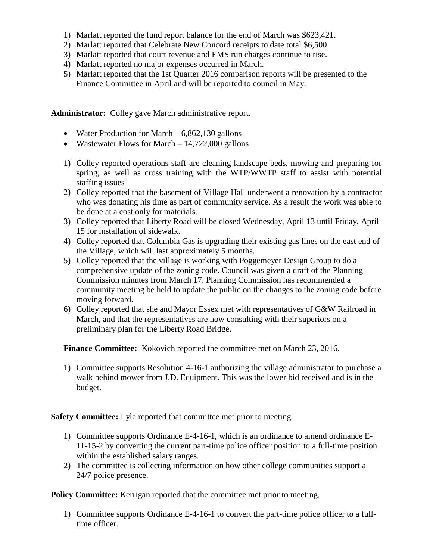- 1) Marlatt reported the fund report balance for the end of March was \$623,421.
- 2) Marlatt reported that Celebrate New Concord receipts to date total \$6,500.
- 3) Marlatt reported that court revenue and EMS run charges continue to rise.
- 4) Marlatt reported no major expenses occurred in March.
- 5) Marlatt reported that the 1st Quarter 2016 comparison reports will be presented to the Finance Committee in April and will be reported to council in May.

**Administrator:** Colley gave March administrative report.

- Water Production for March  $-6,862,130$  gallons
- Wastewater Flows for March 14,722,000 gallons
- 1) Colley reported operations staff are cleaning landscape beds, mowing and preparing for spring, as well as cross training with the WTP/WWTP staff to assist with potential staffing issues
- 2) Colley reported that the basement of Village Hall underwent a renovation by a contractor who was donating his time as part of community service. As a result the work was able to be done at a cost only for materials.
- 3) Colley reported that Liberty Road will be closed Wednesday, April 13 until Friday, April 15 for installation of sidewalk.
- 4) Colley reported that Columbia Gas is upgrading their existing gas lines on the east end of the Village, which will last approximately 5 months.
- 5) Colley reported that the village is working with Poggemeyer Design Group to do a comprehensive update of the zoning code. Council was given a draft of the Planning Commission minutes from March 17. Planning Commission has recommended a community meeting be held to update the public on the changes to the zoning code before moving forward.
- 6) Colley reported that she and Mayor Essex met with representatives of G&W Railroad in March, and that the representatives are now consulting with their superiors on a preliminary plan for the Liberty Road Bridge.

**Finance Committee:** Kokovich reported the committee met on March 23, 2016.

1) Committee supports Resolution 4-16-1 authorizing the village administrator to purchase a walk behind mower from J.D. Equipment. This was the lower bid received and is in the budget.

**Safety Committee:** Lyle reported that committee met prior to meeting.

- 1) Committee supports Ordinance E-4-16-1, which is an ordinance to amend ordinance E-11-15-2 by converting the current part-time police officer position to a full-time position within the established salary ranges.
- 2) The committee is collecting information on how other college communities support a 24/7 police presence.

**Policy Committee:** Kerrigan reported that the committee met prior to meeting.

1) Committee supports Ordinance E-4-16-1 to convert the part-time police officer to a fulltime officer.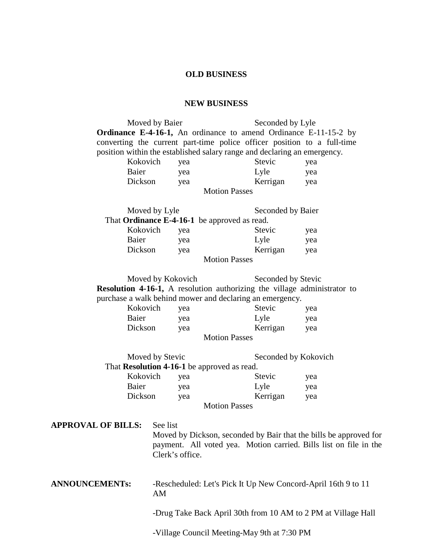## **OLD BUSINESS**

## **NEW BUSINESS**

|                                                                                                                                      |                   | Moved by Baier                                                                                                                                     |                      |                   | Seconded by Lyle | Ordinance E-4-16-1, An ordinance to amend Ordinance E-11-15-2 by<br>converting the current part-time police officer position to a full-time |  |
|--------------------------------------------------------------------------------------------------------------------------------------|-------------------|----------------------------------------------------------------------------------------------------------------------------------------------------|----------------------|-------------------|------------------|---------------------------------------------------------------------------------------------------------------------------------------------|--|
| position within the established salary range and declaring an emergency.                                                             |                   |                                                                                                                                                    |                      |                   |                  |                                                                                                                                             |  |
|                                                                                                                                      | Kokovich          | yea                                                                                                                                                |                      | Stevic            | yea              |                                                                                                                                             |  |
|                                                                                                                                      | Baier             |                                                                                                                                                    | yea                  |                   | Lyle             | yea                                                                                                                                         |  |
|                                                                                                                                      | Dickson           |                                                                                                                                                    | yea                  |                   | Kerrigan         | yea                                                                                                                                         |  |
| <b>Motion Passes</b>                                                                                                                 |                   |                                                                                                                                                    |                      |                   |                  |                                                                                                                                             |  |
|                                                                                                                                      |                   | Moved by Lyle                                                                                                                                      |                      | Seconded by Baier |                  |                                                                                                                                             |  |
|                                                                                                                                      |                   | That Ordinance E-4-16-1 be approved as read.                                                                                                       |                      |                   |                  |                                                                                                                                             |  |
|                                                                                                                                      | Kokovich          |                                                                                                                                                    | yea                  |                   | Stevic           | yea                                                                                                                                         |  |
|                                                                                                                                      | Baier             |                                                                                                                                                    | yea                  |                   | Lyle             | yea                                                                                                                                         |  |
|                                                                                                                                      | Dickson           |                                                                                                                                                    | yea                  |                   | Kerrigan         | yea                                                                                                                                         |  |
| <b>Motion Passes</b>                                                                                                                 |                   |                                                                                                                                                    |                      |                   |                  |                                                                                                                                             |  |
|                                                                                                                                      |                   |                                                                                                                                                    |                      |                   |                  |                                                                                                                                             |  |
|                                                                                                                                      | Moved by Kokovich |                                                                                                                                                    | Seconded by Stevic   |                   |                  |                                                                                                                                             |  |
| Resolution 4-16-1, A resolution authorizing the village administrator to<br>purchase a walk behind mower and declaring an emergency. |                   |                                                                                                                                                    |                      |                   |                  |                                                                                                                                             |  |
|                                                                                                                                      | Kokovich          |                                                                                                                                                    |                      |                   | Stevic           |                                                                                                                                             |  |
|                                                                                                                                      |                   | yea                                                                                                                                                |                      |                   | yea              |                                                                                                                                             |  |
|                                                                                                                                      | Baier             |                                                                                                                                                    | yea                  |                   | Lyle             | yea                                                                                                                                         |  |
|                                                                                                                                      | Dickson           |                                                                                                                                                    | yea                  |                   | Kerrigan         | yea                                                                                                                                         |  |
| <b>Motion Passes</b>                                                                                                                 |                   |                                                                                                                                                    |                      |                   |                  |                                                                                                                                             |  |
|                                                                                                                                      | Moved by Stevic   |                                                                                                                                                    | Seconded by Kokovich |                   |                  |                                                                                                                                             |  |
| That Resolution 4-16-1 be approved as read.                                                                                          |                   |                                                                                                                                                    |                      |                   |                  |                                                                                                                                             |  |
| Kokovich                                                                                                                             |                   |                                                                                                                                                    | yea                  |                   | <b>Stevic</b>    | yea                                                                                                                                         |  |
| Baier                                                                                                                                |                   |                                                                                                                                                    | yea                  |                   | Lyle             | yea                                                                                                                                         |  |
|                                                                                                                                      | Dickson           |                                                                                                                                                    | yea                  |                   | Kerrigan         | yea                                                                                                                                         |  |
| <b>Motion Passes</b>                                                                                                                 |                   |                                                                                                                                                    |                      |                   |                  |                                                                                                                                             |  |
|                                                                                                                                      |                   |                                                                                                                                                    |                      |                   |                  |                                                                                                                                             |  |
| <b>APPROVAL OF BILLS:</b>                                                                                                            |                   | See list<br>Moved by Dickson, seconded by Bair that the bills be approved for<br>payment. All voted yea. Motion carried. Bills list on file in the |                      |                   |                  |                                                                                                                                             |  |
|                                                                                                                                      |                   | Clerk's office.                                                                                                                                    |                      |                   |                  |                                                                                                                                             |  |
| <b>ANNOUNCEMENTs:</b>                                                                                                                |                   | -Rescheduled: Let's Pick It Up New Concord-April 16th 9 to 11<br>AM                                                                                |                      |                   |                  |                                                                                                                                             |  |
|                                                                                                                                      |                   | -Drug Take Back April 30th from 10 AM to 2 PM at Village Hall                                                                                      |                      |                   |                  |                                                                                                                                             |  |
|                                                                                                                                      |                   |                                                                                                                                                    |                      |                   |                  |                                                                                                                                             |  |

-Village Council Meeting-May 9th at 7:30 PM